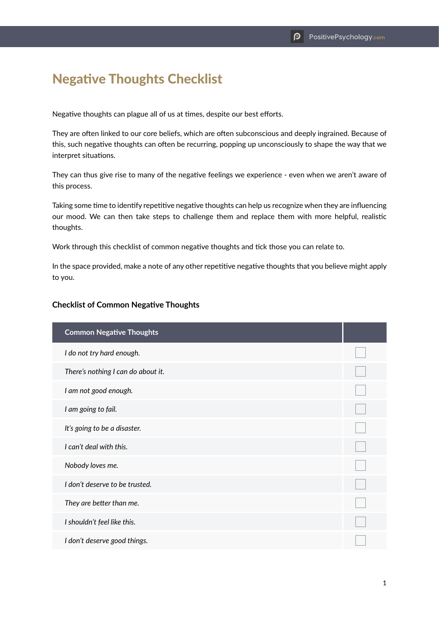## Negative Thoughts Checklist

Negative thoughts can plague all of us at times, despite our best efforts.

They are often linked to our core beliefs, which are often subconscious and deeply ingrained. Because of this, such negative thoughts can often be recurring, popping up unconsciously to shape the way that we interpret situations.

They can thus give rise to many of the negative feelings we experience - even when we aren't aware of this process.

Taking some time to identify repetitive negative thoughts can help us recognize when they are influencing our mood. We can then take steps to challenge them and replace them with more helpful, realistic thoughts.

Work through this checklist of common negative thoughts and tick those you can relate to.

In the space provided, make a note of any other repetitive negative thoughts that you believe might apply to you.

## **Checklist of Common Negative Thoughts**

| <b>Common Negative Thoughts</b>    |  |
|------------------------------------|--|
| I do not try hard enough.          |  |
| There's nothing I can do about it. |  |
| I am not good enough.              |  |
| I am going to fail.                |  |
| It's going to be a disaster.       |  |
| I can't deal with this.            |  |
| Nobody loves me.                   |  |
| I don't deserve to be trusted.     |  |
| They are better than me.           |  |
| I shouldn't feel like this.        |  |
| I don't deserve good things.       |  |